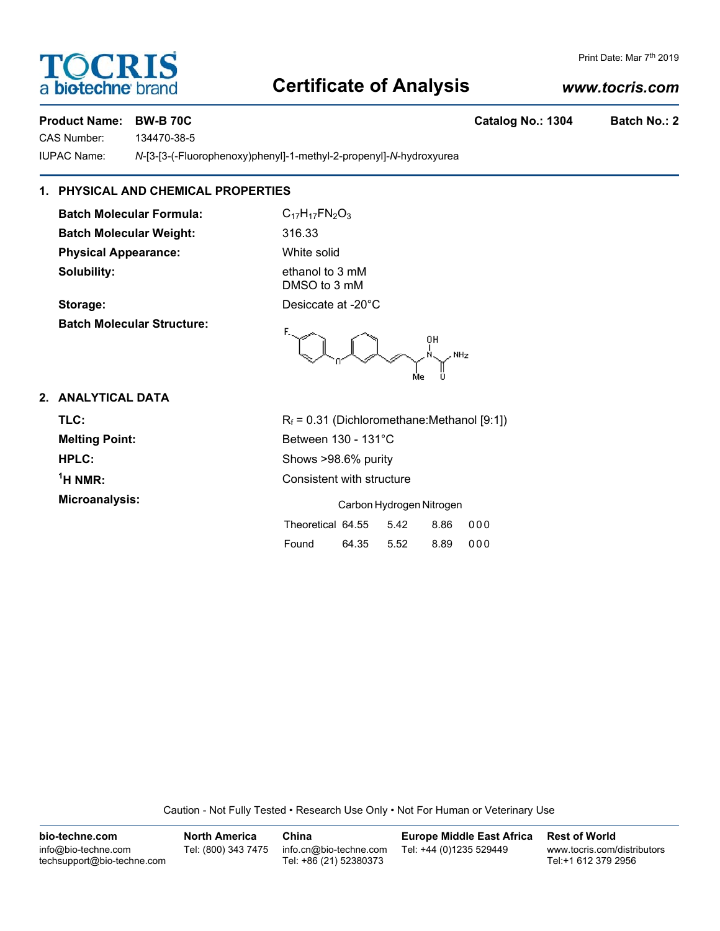# TOCRIS a **biotechne** br

### Print Date: Mar 7<sup>th</sup> 2019

## **Certificate of Analysis**

### *www.tocris.com*

### **Product Name: BW-B 70C Catalog No.: 1304 Batch No.: 2**

CAS Number: 134470-38-5

IUPAC Name: *N*-[3-[3-(-Fluorophenoxy)phenyl]-1-methyl-2-propenyl]-*N*-hydroxyurea

### **1. PHYSICAL AND CHEMICAL PROPERTIES**

**Batch Molecular Formula:** C<sub>17</sub>H<sub>17</sub>FN<sub>2</sub>O<sub>3</sub> **Batch Molecular Weight:** 316.33 **Physical Appearance:** White solid **Solubility:** ethanol to 3 mM

**Batch Molecular Structure:**

DMSO to 3 mM **Storage:** Desiccate at -20°C

NHz

**2. ANALYTICAL DATA**

 $<sup>1</sup>H NMR$ :</sup>

**TLC:** R<sub>f</sub> = 0.31 (Dichloromethane:Methanol [9:1]) **Melting Point:** Between 130 - 131°C **HPLC:** Shows >98.6% purity **Consistent with structure Microanalysis:** Carbon Hydrogen Nitrogen Nitrogen Nitrogen Nitrogen Nitrogen Nitrogen Nitrogen Nitrogen Nitrogen Nitrogen Nitrogen Nitrogen Nitrogen Nitrogen Nitrogen Nitrogen Nitrogen Nitrogen Nitrogen Nitrogen Nitrogen

| Carbon Hydrogen Nitrogen |       |      |      |       |
|--------------------------|-------|------|------|-------|
| Theoretical 64.55        |       | 5.42 | 8.86 | - 000 |
| Found                    | 64.35 | 5.52 | 8.89 | 000   |

Caution - Not Fully Tested • Research Use Only • Not For Human or Veterinary Use

**bio-techne.com** info@bio-techne.com techsupport@bio-techne.com **North America** Tel: (800) 343 7475 **China** info.cn@bio-techne.com Tel: +86 (21) 52380373 **Europe Middle East Africa** Tel: +44 (0)1235 529449 **Rest of World** www.tocris.com/distributors Tel:+1 612 379 2956